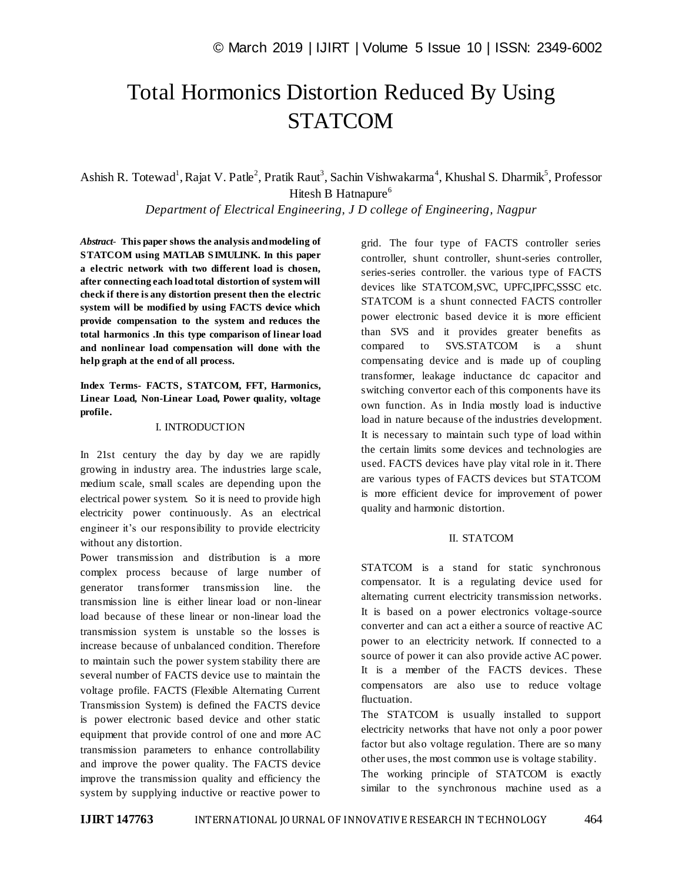# Total Hormonics Distortion Reduced By Using **STATCOM**

Ashish R. Totewad<sup>1</sup>, Rajat V. Patle<sup>2</sup>, Pratik Raut<sup>3</sup>, Sachin Vishwakarma<sup>4</sup>, Khushal S. Dharmik<sup>5</sup>, Professor Hitesh B Hatnapure<sup>6</sup>

*Department of Electrical Engineering, J D college of Engineering, Nagpur*

*Abstract*- **This paper shows the analysis and modeling of STATCOM using MATLAB SIMULINK. In this paper a electric network with two different load is chosen, after connecting each load total distortion of system will check if there is any distortion present then the electric system will be modified by using FACTS device which provide compensation to the system and reduces the total harmonics .In this type comparison of linear load and nonlinear load compensation will done with the help graph at the end of all process.**

**Index Terms- FACTS, STATCOM, FFT, Harmonics, Linear Load, Non-Linear Load, Power quality, voltage profile.**

#### I. INTRODUCTION

In 21st century the day by day we are rapidly growing in industry area. The industries large scale, medium scale, small scales are depending upon the electrical power system. So it is need to provide high electricity power continuously. As an electrical engineer it's our responsibility to provide electricity without any distortion.

Power transmission and distribution is a more complex process because of large number of generator transformer transmission line. the transmission line is either linear load or non-linear load because of these linear or non-linear load the transmission system is unstable so the losses is increase because of unbalanced condition. Therefore to maintain such the power system stability there are several number of FACTS device use to maintain the voltage profile. FACTS (Flexible Alternating Current Transmission System) is defined the FACTS device is power electronic based device and other static equipment that provide control of one and more AC transmission parameters to enhance controllability and improve the power quality. The FACTS device improve the transmission quality and efficiency the system by supplying inductive or reactive power to grid. The four type of FACTS controller series controller, shunt controller, shunt-series controller, series-series controller. the various type of FACTS devices like STATCOM,SVC, UPFC,IPFC,SSSC etc. STATCOM is a shunt connected FACTS controller power electronic based device it is more efficient than SVS and it provides greater benefits as compared to SVS.STATCOM is a shunt compensating device and is made up of coupling transformer, leakage inductance dc capacitor and switching convertor each of this components have its own function. As in India mostly load is inductive load in nature because of the industries development. It is necessary to maintain such type of load within the certain limits some devices and technologies are used. FACTS devices have play vital role in it. There are various types of FACTS devices but STATCOM is more efficient device for improvement of power quality and harmonic distortion.

#### II. STATCOM

STATCOM is a stand for static synchronous compensator. It is a regulating device used for alternating current electricity transmission networks. It is based on a power electronics voltage-source converter and can act a either a source of reactive AC power to an electricity network. If connected to a source of power it can also provide active AC power. It is a member of the FACTS devices. These compensators are also use to reduce voltage fluctuation.

The STATCOM is usually installed to support electricity networks that have not only a poor power factor but also voltage regulation. There are so many other uses, the most common use is voltage stability.

The working principle of STATCOM is exactly similar to the synchronous machine used as a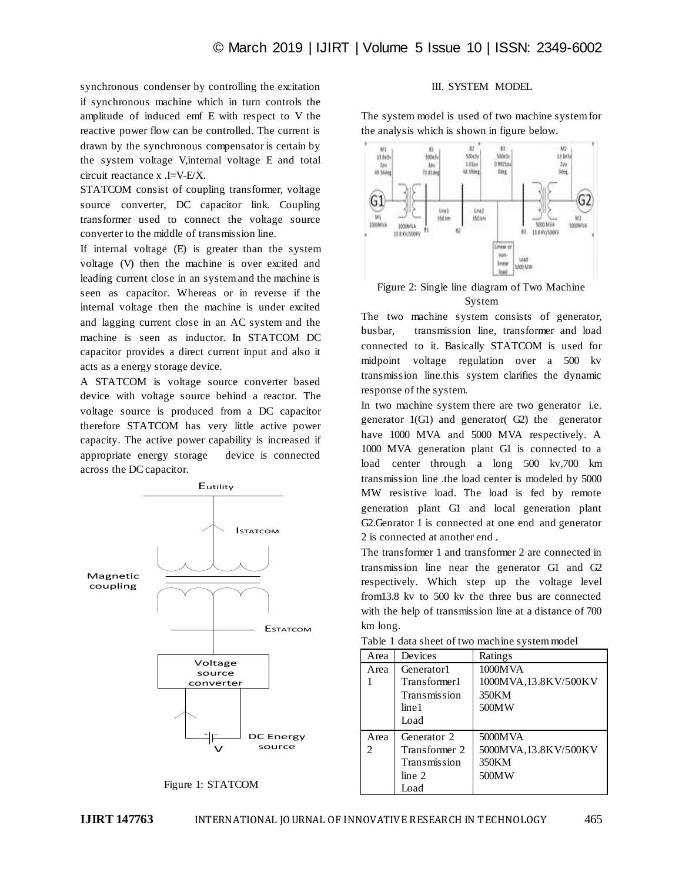synchronous condenser by controlling the excitation if synchronous machine which in turn controls the amplitude of induced emf E with respect to V the reactive power flow can be controlled. The current is drawn by the synchronous compensator is certain by the system voltage V,internal voltage E and total circuit reactance x .I=V-E/X.

STATCOM consist of coupling transformer, voltage source converter, DC capacitor link. Coupling transformer used to connect the voltage source converter to the middle of transmission line.

If internal voltage (E) is greater than the system voltage (V) then the machine is over excited and leading current close in an system and the machine is seen as capacitor. Whereas or in reverse if the internal voltage then the machine is under excited and lagging current close in an AC system and the machine is seen as inductor. In STATCOM DC capacitor provides a direct current input and also it acts as a energy storage device.

A STATCOM is voltage source converter based device with voltage source behind a reactor. The voltage source is produced from a DC capacitor therefore STATCOM has very little active power capacity. The active power capability is increased if appropriate energy storage device is connected across the DC capacitor.



Figure 1: STATCOM

## III. SYSTEM MODEL

The system model is used of two machine system for the analysis which is shown in figure below.



Figure 2: Single line diagram of Two Machine System

The two machine system consists of generator, busbar, transmission line, transformer and load connected to it. Basically STATCOM is used for midpoint voltage regulation over a 500 kv transmission line.this system clarifies the dynamic response of the system.

In two machine system there are two generator i.e. generator 1(G1) and generator( G2) the generator have 1000 MVA and 5000 MVA respectively. A 1000 MVA generation plant G1 is connected to a load center through a long 500 kv,700 km transmission line .the load center is modeled by 5000 MW resistive load. The load is fed by remote generation plant G1 and local generation plant G2.Genrator 1 is connected at one end and generator 2 is connected at another end .

The transformer 1 and transformer 2 are connected in transmission line near the generator G1 and G2 respectively. Which step up the voltage level from13.8 kv to 500 kv the three bus are connected with the help of transmission line at a distance of 700 km long.

| Area | Devices       | Ratings              |
|------|---------------|----------------------|
| Area | Generator1    | 1000MVA              |
|      | Transformer1  | 1000MVA,13.8KV/500KV |
|      | Transmission  | 350KM                |
|      | line 1        | 500MW                |
|      | Load          |                      |
| Area | Generator 2   | 5000MVA              |
|      | Transformer 2 | 5000MVA,13.8KV/500KV |
|      | Transmission  | 350KM                |
|      | line 2        | 500MW                |
|      | Load          |                      |

Table 1 data sheet of two machine system model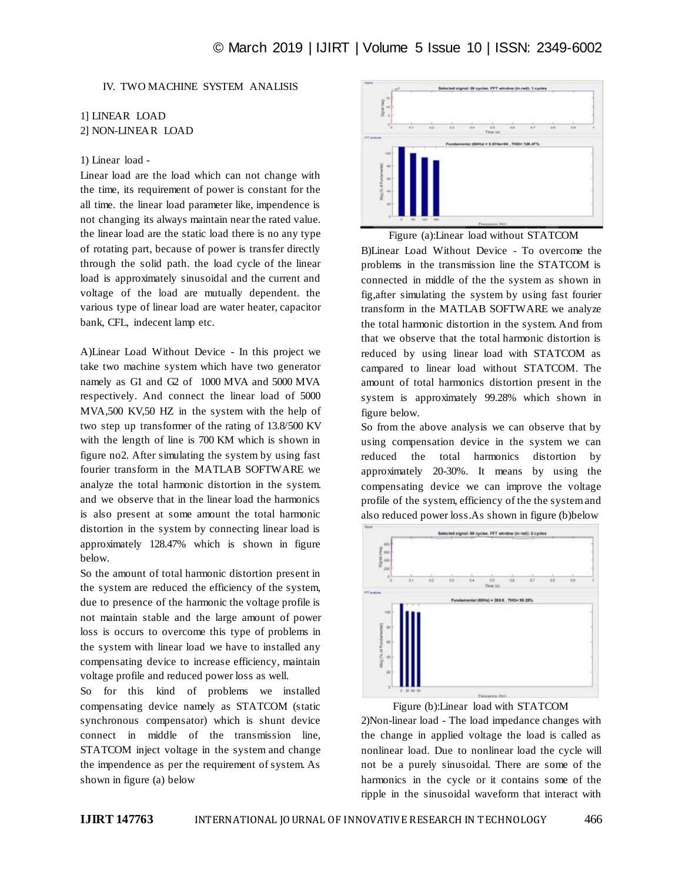## IV. TWO MACHINE SYSTEM ANALISIS

## 1] LINEAR LOAD 2] NON-LINEAR LOAD

### 1) Linear load -

Linear load are the load which can not change with the time, its requirement of power is constant for the all time. the linear load parameter like, impendence is not changing its always maintain near the rated value. the linear load are the static load there is no any type of rotating part, because of power is transfer directly through the solid path. the load cycle of the linear load is approximately sinusoidal and the current and voltage of the load are mutually dependent. the various type of linear load are water heater, capacitor bank, CFL, indecent lamp etc.

A)Linear Load Without Device - In this project we take two machine system which have two generator namely as G1 and G2 of 1000 MVA and 5000 MVA respectively. And connect the linear load of 5000 MVA,500 KV,50 HZ in the system with the help of two step up transformer of the rating of 13.8/500 KV with the length of line is 700 KM which is shown in figure no2. After simulating the system by using fast fourier transform in the MATLAB SOFTWARE we analyze the total harmonic distortion in the system. and we observe that in the linear load the harmonics is also present at some amount the total harmonic distortion in the system by connecting linear load is approximately 128.47% which is shown in figure below.

So the amount of total harmonic distortion present in the system are reduced the efficiency of the system, due to presence of the harmonic the voltage profile is not maintain stable and the large amount of power loss is occurs to overcome this type of problems in the system with linear load we have to installed any compensating device to increase efficiency, maintain voltage profile and reduced power loss as well.

So for this kind of problems we installed compensating device namely as STATCOM (static synchronous compensator) which is shunt device connect in middle of the transmission line, STATCOM inject voltage in the system and change the impendence as per the requirement of system. As shown in figure (a) below



Figure (a):Linear load without STATCOM

B)Linear Load Without Device - To overcome the problems in the transmission line the STATCOM is connected in middle of the the system as shown in fig,after simulating the system by using fast fourier transform in the MATLAB SOFTWARE we analyze the total harmonic distortion in the system. And from that we observe that the total harmonic distortion is reduced by using linear load with STATCOM as campared to linear load without STATCOM. The amount of total harmonics distortion present in the system is approximately 99.28% which shown in figure below.

So from the above analysis we can observe that by using compensation device in the system we can reduced the total harmonics distortion by approximately 20-30%. It means by using the compensating device we can improve the voltage profile of the system, efficiency of the the system and also reduced power loss.As shown in figure (b)below



Figure (b):Linear load with STATCOM

2)Non-linear load - The load impedance changes with the change in applied voltage the load is called as nonlinear load. Due to nonlinear load the cycle will not be a purely sinusoidal. There are some of the harmonics in the cycle or it contains some of the ripple in the sinusoidal waveform that interact with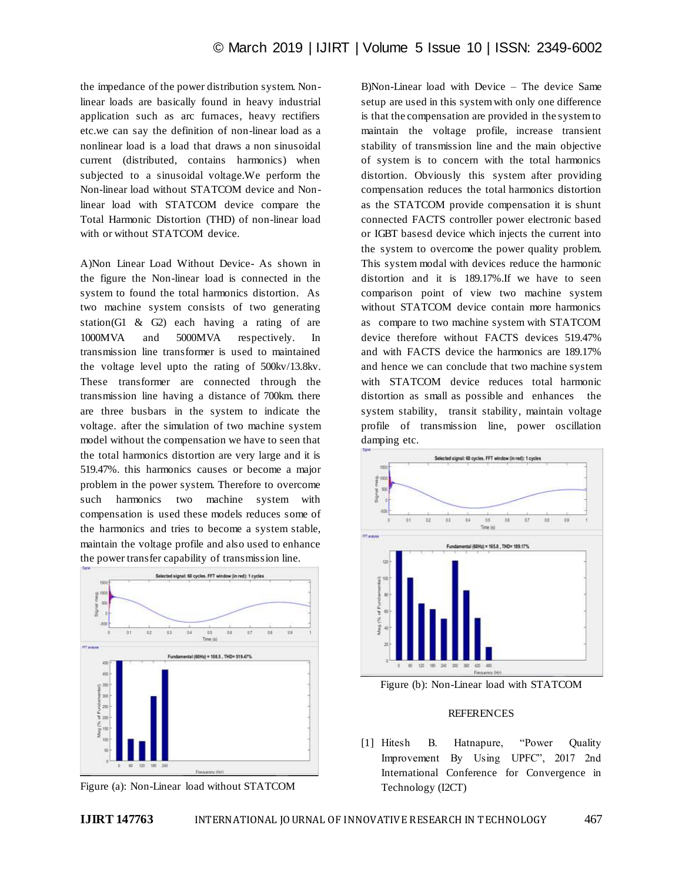the impedance of the power distribution system. Nonlinear loads are basically found in heavy industrial application such as arc furnaces, heavy rectifiers etc.we can say the definition of non-linear load as a nonlinear load is a load that draws a non sinusoidal current (distributed, contains harmonics) when subjected to a sinusoidal voltage.We perform the Non-linear load without STATCOM device and Nonlinear load with STATCOM device compare the Total Harmonic Distortion (THD) of non-linear load with or without STATCOM device.

A)Non Linear Load Without Device- As shown in the figure the Non-linear load is connected in the system to found the total harmonics distortion. As two machine system consists of two generating station(G1 & G2) each having a rating of are 1000MVA and 5000MVA respectively. In transmission line transformer is used to maintained the voltage level upto the rating of 500kv/13.8kv. These transformer are connected through the transmission line having a distance of 700km. there are three busbars in the system to indicate the voltage. after the simulation of two machine system model without the compensation we have to seen that the total harmonics distortion are very large and it is 519.47%. this harmonics causes or become a major problem in the power system. Therefore to overcome such harmonics two machine system with compensation is used these models reduces some of the harmonics and tries to become a system stable, maintain the voltage profile and also used to enhance the power transfer capability of transmission line.



Figure (a): Non-Linear load without STATCOM

B)Non-Linear load with Device – The device Same setup are used in this system with only one difference is that the compensation are provided in the system to maintain the voltage profile, increase transient stability of transmission line and the main objective of system is to concern with the total harmonics distortion. Obviously this system after providing compensation reduces the total harmonics distortion as the STATCOM provide compensation it is shunt connected FACTS controller power electronic based or IGBT basesd device which injects the current into the system to overcome the power quality problem. This system modal with devices reduce the harmonic distortion and it is 189.17%.If we have to seen comparison point of view two machine system without STATCOM device contain more harmonics as compare to two machine system with STATCOM device therefore without FACTS devices 519.47% and with FACTS device the harmonics are 189.17% and hence we can conclude that two machine system with STATCOM device reduces total harmonic distortion as small as possible and enhances the system stability, transit stability, maintain voltage profile of transmission line, power oscillation damping etc.



Figure (b): Non-Linear load with STATCOM

#### REFERENCES

[1] Hitesh B. Hatnapure, "Power Quality Improvement By Using UPFC", 2017 2nd International Conference for Convergence in Technology (I2CT)